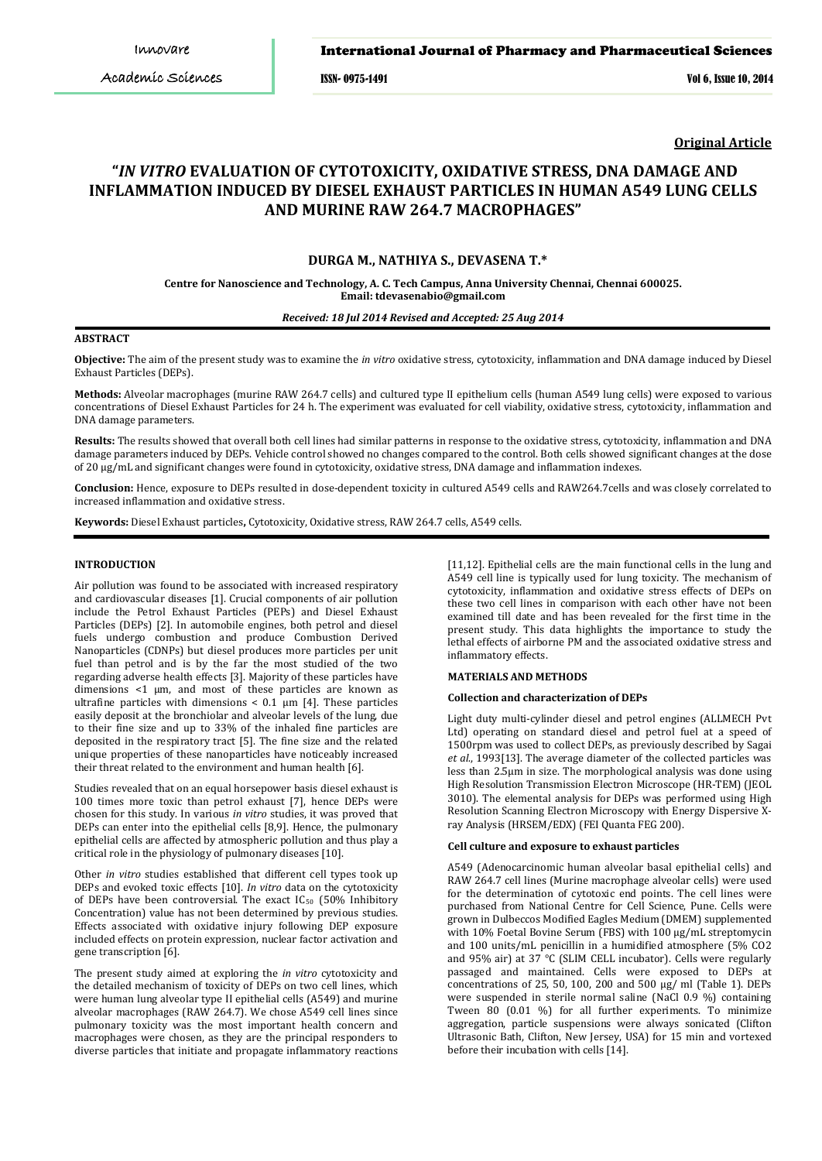ISSN- 0975-1491 Vol 6, Issue 10, 2014

**Original Article**

# **"***IN VITRO* **EVALUATION OF CYTOTOXICITY, OXIDATIVE STRESS, DNA DAMAGE AND INFLAMMATION INDUCED BY DIESEL EXHAUST PARTICLES IN HUMAN A549 LUNG CELLS AND MURINE RAW 264.7 MACROPHAGES"**

# **DURGA M., NATHIYA S., DEVASENA T.\***

**Centre for Nanoscience and Technology, A. C. Tech Campus, Anna University Chennai, Chennai 600025. Email: tdevasenabio@gmail.com**

*Received: 18 Jul 2014 Revised and Accepted: 25 Aug 2014*

# **ABSTRACT**

**Objective:** The aim of the present study was to examine the *in vitro* oxidative stress, cytotoxicity, inflammation and DNA damage induced by Diesel Exhaust Particles (DEPs).

**Methods:** Alveolar macrophages (murine RAW 264.7 cells) and cultured type II epithelium cells (human A549 lung cells) were exposed to various concentrations of Diesel Exhaust Particles for 24 h. The experiment was evaluated for cell viability, oxidative stress, cytotoxicity, inflammation and DNA damage parameters.

**Results:** The results showed that overall both cell lines had similar patterns in response to the oxidative stress, cytotoxicity, inflammation and DNA damage parameters induced by DEPs. Vehicle control showed no changes compared to the control. Both cells showed significant changes at the dose of 20 μg/mL and significant changes were found in cytotoxicity, oxidative stress, DNA damage and inflammation indexes.

**Conclusion:** Hence, exposure to DEPs resulted in dose‐dependent toxicity in cultured A549 cells and RAW264.7cells and was closely correlated to increased inflammation and oxidative stress.

**Keywords:** Diesel Exhaust particles**,** Cytotoxicity, Oxidative stress, RAW 264.7 cells, A549 cells.

## **INTRODUCTION**

Air pollution was found to be associated with increased respiratory and cardiovascular diseases [1]. Crucial components of air pollution include the Petrol Exhaust Particles (PEPs) and Diesel Exhaust Particles (DEPs) [2]. In automobile engines, both petrol and diesel fuels undergo combustion and produce Combustion Derived Nanoparticles (CDNPs) but diesel produces more particles per unit fuel than petrol and is by the far the most studied of the two regarding adverse health effects [3]. Majority of these particles have dimensions <1 μm, and most of these particles are known as ultrafine particles with dimensions  $< 0.1 \mu m$  [4]. These particles easily deposit at the bronchiolar and alveolar levels of the lung, due to their fine size and up to 33% of the inhaled fine particles are deposited in the respiratory tract [5]. The fine size and the related unique properties of these nanoparticles have noticeably increased their threat related to the environment and human health [6].

Studies revealed that on an equal horsepower basis diesel exhaust is 100 times more toxic than petrol exhaust [7], hence DEPs were chosen for this study. In various *in vitro* studies, it was proved that DEPs can enter into the epithelial cells [8,9]. Hence, the pulmonary epithelial cells are affected by atmospheric pollution and thus play a critical role in the physiology of pulmonary diseases [10].

Other *in vitro* studies established that different cell types took up DEPs and evoked toxic effects [10]. *In vitro* data on the cytotoxicity of DEPs have been controversial. The exact IC50 (50% Inhibitory Concentration) value has not been determined by previous studies. Effects associated with oxidative injury following DEP exposure included effects on protein expression, nuclear factor activation and gene transcription [6].

The present study aimed at exploring the *in vitro* cytotoxicity and the detailed mechanism of toxicity of DEPs on two cell lines, which were human lung alveolar type II epithelial cells (A549) and murine alveolar macrophages (RAW 264.7). We chose A549 cell lines since pulmonary toxicity was the most important health concern and macrophages were chosen, as they are the principal responders to diverse particles that initiate and propagate inflammatory reactions

[11,12]. Epithelial cells are the main functional cells in the lung and A549 cell line is typically used for lung toxicity. The mechanism of cytotoxicity, inflammation and oxidative stress effects of DEPs on these two cell lines in comparison with each other have not been examined till date and has been revealed for the first time in the present study. This data highlights the importance to study the lethal effects of airborne PM and the associated oxidative stress and inflammatory effects.

#### **MATERIALS AND METHODS**

# **Collection and characterization of DEPs**

Light duty multi-cylinder diesel and petrol engines (ALLMECH Pvt Ltd) operating on standard diesel and petrol fuel at a speed of 1500rpm was used to collect DEPs, as previously described by Sagai *et al*., 1993[13]. The average diameter of the collected particles was less than 2.5μm in size. The morphological analysis was done using High Resolution Transmission Electron Microscope (HR-TEM) (JEOL 3010). The elemental analysis for DEPs was performed using High Resolution Scanning Electron Microscopy with Energy Dispersive Xray Analysis (HRSEM/EDX) (FEI Quanta FEG 200).

#### **Cell culture and exposure to exhaust particles**

A549 (Adenocarcinomic human alveolar basal epithelial cells) and RAW 264.7 cell lines (Murine macrophage alveolar cells) were used for the determination of cytotoxic end points. The cell lines were purchased from National Centre for Cell Science, Pune. Cells were grown in Dulbeccos Modified Eagles Medium (DMEM) supplemented with 10% Foetal Bovine Serum (FBS) with 100 μg/mL streptomycin and 100 units/mL penicillin in a humidified atmosphere (5% CO2 and 95% air) at 37 °C (SLIM CELL incubator). Cells were regularly passaged and maintained. Cells were exposed to DEPs at concentrations of 25, 50, 100, 200 and 500 µg/ ml (Table 1). DEPs were suspended in sterile normal saline (NaCl 0.9 %) containing Tween 80 (0.01 %) for all further experiments. To minimize aggregation, particle suspensions were always sonicated (Clifton Ultrasonic Bath, Clifton, New Jersey, USA) for 15 min and vortexed before their incubation with cells [14].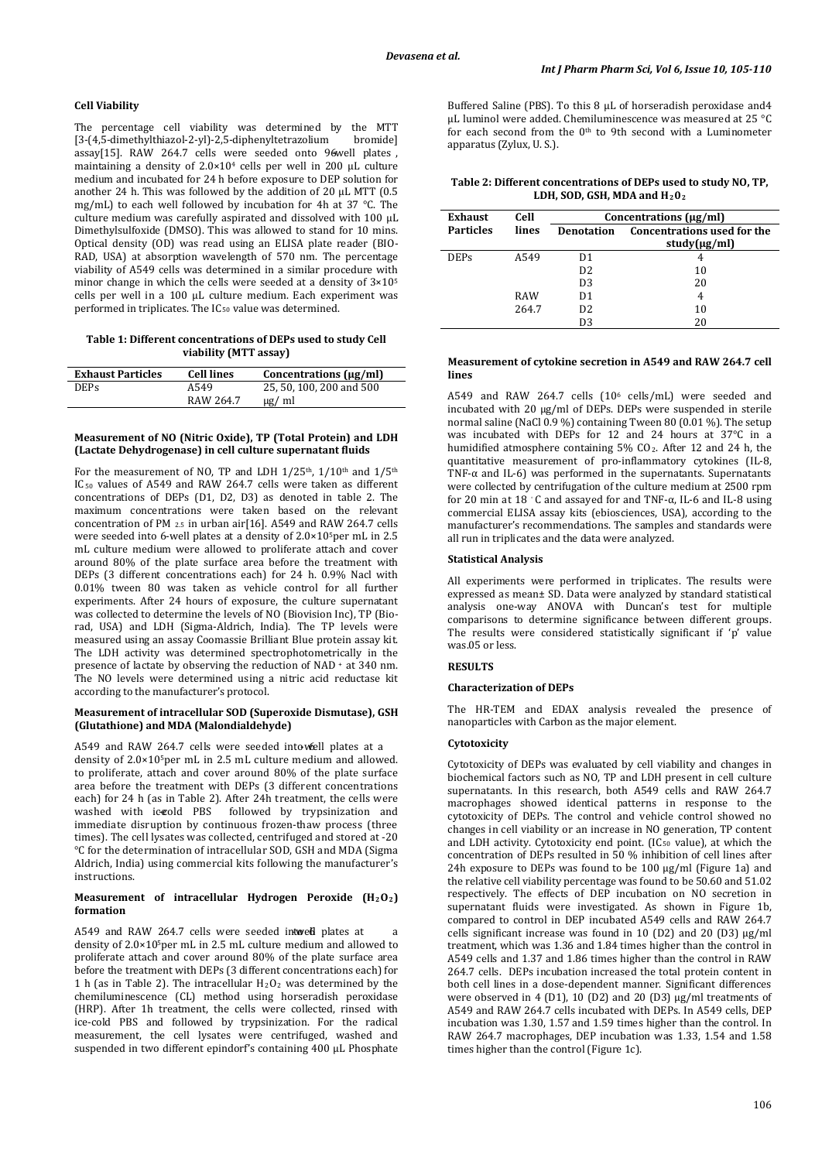# **Cell Viability**

The percentage cell viability was determined by the MTT<br>[3-(4.5-dimethylthiazol-2-yl)-2.5-diphenyltetrazolium bromidel [3-(4,5-dimethylthiazol-2-yl)-2,5-diphenyltetrazolium assay[15]. RAW 264.7 cells were seeded onto 96well plates, maintaining a density of 2.0×104 cells per well in 200 μL culture medium and incubated for 24 h before exposure to DEP solution for another 24 h. This was followed by the addition of 20 μL MTT (0.5 mg/mL) to each well followed by incubation for 4h at 37 °C. The culture medium was carefully aspirated and dissolved with 100 μL Dimethylsulfoxide (DMSO). This was allowed to stand for 10 mins. Optical density (OD) was read using an ELISA plate reader (BIO-RAD, USA) at absorption wavelength of 570 nm. The percentage viability of A549 cells was determined in a similar procedure with minor change in which the cells were seeded at a density of 3×105 cells per well in a 100 μL culture medium. Each experiment was performed in triplicates. The IC<sub>50</sub> value was determined.

**Table 1: Different concentrations of DEPs used to study Cell viability (MTT assay)**

| <b>Exhaust Particles</b> | <b>Cell lines</b> | Concentrations $(\mu g/ml)$ |
|--------------------------|-------------------|-----------------------------|
| <b>DEPs</b>              | A549              | 25, 50, 100, 200 and 500    |
|                          | RAW 264.7         | $\mu$ g/ ml                 |

## **Measurement of NO (Nitric Oxide), TP (Total Protein) and LDH (Lactate Dehydrogenase) in cell culture supernatant fluids**

For the measurement of NO, TP and LDH  $1/25$ <sup>th</sup>,  $1/10$ <sup>th</sup> and  $1/5$ <sup>th</sup> IC50 values of A549 and RAW 264.7 cells were taken as different concentrations of DEPs (D1, D2, D3) as denoted in table 2. The maximum concentrations were taken based on the relevant concentration of PM 2.5 in urban air[16]. A549 and RAW 264.7 cells were seeded into 6-well plates at a density of 2.0×10<sup>5</sup>per mL in 2.5 mL culture medium were allowed to proliferate attach and cover around 80% of the plate surface area before the treatment with DEPs (3 different concentrations each) for 24 h. 0.9% Nacl with 0.01% tween 80 was taken as vehicle control for all further experiments. After 24 hours of exposure, the culture supernatant was collected to determine the levels of NO (Biovision Inc), TP (Biorad, USA) and LDH (Sigma-Aldrich, India). The TP levels were measured using an assay Coomassie Brilliant Blue protein assay kit. The LDH activity was determined spectrophotometrically in the presence of lactate by observing the reduction of NAD + at 340 nm. The NO levels were determined using a nitric acid reductase kit according to the manufacturer's protocol.

# **Measurement of intracellular SOD (Superoxide Dismutase), GSH (Glutathione) and MDA (Malondialdehyde)**

A549 and RAW 264.7 cells were seeded into well plates at a density of 2.0×10<sup>5</sup>per mL in 2.5 mL culture medium and allowed. to proliferate, attach and cover around 80% of the plate surface area before the treatment with DEPs (3 different concentrations each) for 24 h (as in Table 2). After 24h treatment, the cells were washed with iceold PBS followed by trypsinization and immediate disruption by continuous frozen-thaw process (three times). The cell lysates was collected, centrifuged and stored at -20 °C for the determination of intracellular SOD, GSH and MDA (Sigma Aldrich, India) using commercial kits following the manufacturer's instructions.

#### **Measurement of intracellular Hydrogen Peroxide (H 2O2 ) formation**

A549 and RAW 264.7 cells were seeded intweed plates at density of 2.0×10 <sup>5</sup>per mL in 2.5 mL culture medium and allowed to proliferate attach and cover around 80% of the plate surface area before the treatment with DEPs (3 different concentrations each) for 1 h (as in Table 2). The intracellular  $H_2O_2$  was determined by the chemiluminescence (CL) method using horseradish peroxidase (HRP). After 1h treatment, the cells were collected, rinsed with ice‐cold PBS and followed by trypsinization. For the radical measurement, the cell lysates were centrifuged, washed and suspended in two different epindorf's containing 400 μL Phosphate Buffered Saline (PBS). To this 8 μL of horseradish peroxidase and4 μL luminol were added. Chemiluminescence was measured at 25 °C for each second from the  $0<sup>th</sup>$  to 9th second with a Luminometer apparatus (Zylux, U. S.).

**Table 2: Different concentrations of DEPs used to study NO, TP, LDH, SOD, GSH, MDA and H20 2**

| <b>Exhaust</b>   | Cell       | Concentrations $(\mu g/ml)$ |                                                    |
|------------------|------------|-----------------------------|----------------------------------------------------|
| <b>Particles</b> | lines      | Denotation                  | <b>Concentrations used for the</b><br>study(µg/ml) |
| <b>DEPs</b>      | A549       | D1                          |                                                    |
|                  |            | D <sub>2</sub>              | 10                                                 |
|                  |            | D <sub>3</sub>              | 20                                                 |
|                  | <b>RAW</b> | D <sub>1</sub>              | 4                                                  |
|                  | 264.7      | D <sub>2</sub>              | 10                                                 |
|                  |            | D3                          | 20                                                 |

### **Measurement of cytokine secretion in A549 and RAW 264.7 cell lines**

A549 and RAW 264.7 cells (106 cells/mL) were seeded and incubated with 20 µg/ml of DEPs. DEPs were suspended in sterile normal saline (NaCl 0.9 %) containing Tween 80 (0.01 %). The setup was incubated with DEPs for 12 and 24 hours at 37°C in a humidified atmosphere containing 5% CO2. After 12 and 24 h, the quantitative measurement of pro-inflammatory cytokines (IL-8, TNF-α and IL-6) was performed in the supernatants. Supernatants were collected by centrifugation of the culture medium at 2500 rpm for 20 min at 18 ◦ C and assayed for and TNF-α, IL-6 and IL-8 using commercial ELISA assay kits (ebiosciences, USA), according to the manufacturer's recommendations. The samples and standards were all run in triplicates and the data were analyzed.

### **Statistical Analysis**

All experiments were performed in triplicates. The results were expressed as mean± SD. Data were analyzed by standard statistical analysis one-way ANOVA with Duncan's test for multiple comparisons to determine significance between different groups. The results were considered statistically significant if 'p' value was.05 or less.

# **RESULTS**

### **Characterization of DEPs**

The HR-TEM and EDAX analysis revealed the presence of nanoparticles with Carbon as the major element.

### **Cytotoxicity**

Cytotoxicity of DEPs was evaluated by cell viability and changes in biochemical factors such as NO, TP and LDH present in cell culture supernatants. In this research, both A549 cells and RAW 264.7 macrophages showed identical patterns in response to the cytotoxicity of DEPs. The control and vehicle control showed no changes in cell viability or an increase in NO generation, TP content and LDH activity. Cytotoxicity end point. (IC<sub>50</sub> value), at which the concentration of DEPs resulted in 50 % inhibition of cell lines after 24h exposure to DEPs was found to be 100 μg/ml (Figure 1a) and the relative cell viability percentage was found to be 50.60 and 51.02 respectively. The effects of DEP incubation on NO secretion in supernatant fluids were investigated. As shown in Figure 1b, compared to control in DEP incubated A549 cells and RAW 264.7 cells significant increase was found in 10 (D2) and 20 (D3) µg/ml treatment, which was 1.36 and 1.84 times higher than the control in A549 cells and 1.37 and 1.86 times higher than the control in RAW 264.7 cells. DEPs incubation increased the total protein content in both cell lines in a dose-dependent manner. Significant differences were observed in 4 (D1), 10 (D2) and 20 (D3) µg/ml treatments of A549 and RAW 264.7 cells incubated with DEPs. In A549 cells, DEP incubation was 1.30, 1.57 and 1.59 times higher than the control. In RAW 264.7 macrophages, DEP incubation was 1.33, 1.54 and 1.58 times higher than the control (Figure 1c).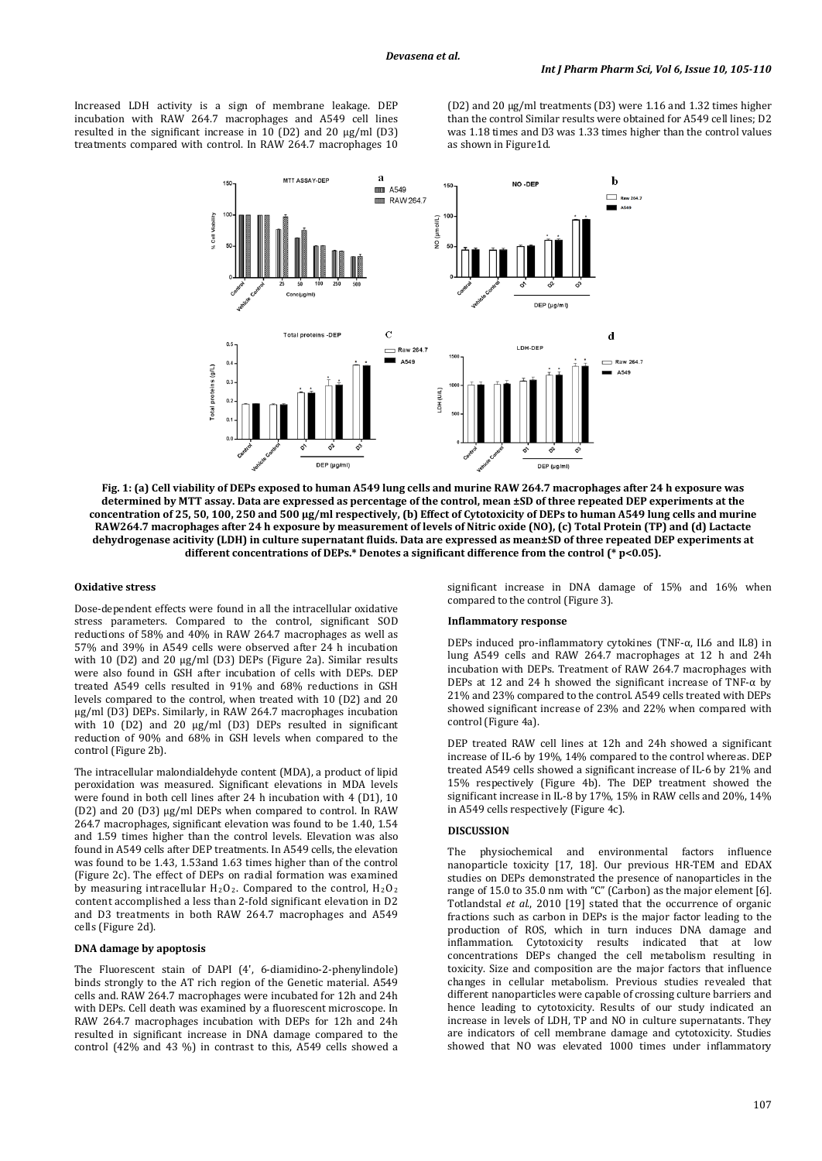Increased LDH activity is a sign of membrane leakage. DEP incubation with RAW 264.7 macrophages and A549 cell lines resulted in the significant increase in 10 (D2) and 20 µg/ml (D3) treatments compared with control. In RAW 264.7 macrophages 10

(D2) and 20 µg/ml treatments (D3) were 1.16 and 1.32 times higher than the control Similar results were obtained for A549 cell lines; D2 was 1.18 times and D3 was 1.33 times higher than the control values as shown in Figure1d.



**Fig. 1: (a) Cell viability of DEPs exposed to human A549 lung cells and murine RAW 264.7 macrophages after 24 h exposure was determined by MTT assay. Data are expressed as percentage of the control, mean ±SD of three repeated DEP experiments at the concentration of 25, 50, 100, 250 and 500 μg/ml respectively, (b) Effect of Cytotoxicity of DEPs to human A549 lung cells and murine RAW264.7 macrophages after 24 h exposure by measurement of levels of Nitric oxide (NO), (c) Total Protein (TP) and (d) Lactacte dehydrogenase acitivity (LDH) in culture supernatant fluids. Data are expressed as mean±SD of three repeated DEP experiments at different concentrations of DEPs.\* Denotes a significant difference from the control (\* p<0.05).**

### **Oxidative stress**

Dose-dependent effects were found in all the intracellular oxidative stress parameters. Compared to the control, significant SOD reductions of 58% and 40% in RAW 264.7 macrophages as well as 57% and 39% in A549 cells were observed after 24 h incubation with 10 (D2) and 20 μg/ml (D3) DEPs (Figure 2a). Similar results were also found in GSH after incubation of cells with DEPs. DEP treated A549 cells resulted in 91% and 68% reductions in GSH levels compared to the control, when treated with 10 (D2) and 20 μg/ml (D3) DEPs. Similarly, in RAW 264.7 macrophages incubation with 10 (D2) and 20 μg/ml (D3) DEPs resulted in significant reduction of 90% and 68% in GSH levels when compared to the control (Figure 2b).

The intracellular malondialdehyde content (MDA), a product of lipid peroxidation was measured. Significant elevations in MDA levels were found in both cell lines after 24 h incubation with 4 (D1), 10 (D2) and 20 (D3) μg/ml DEPs when compared to control. In RAW 264.7 macrophages, significant elevation was found to be 1.40, 1.54 and 1.59 times higher than the control levels. Elevation was also found in A549 cells after DEP treatments. In A549 cells, the elevation was found to be 1.43, 1.53and 1.63 times higher than of the control (Figure 2c). The effect of DEPs on radial formation was examined by measuring intracellular  $H_2O_2$ . Compared to the control,  $H_2O_2$ content accomplished a less than 2-fold significant elevation in D2 and D3 treatments in both RAW 264.7 macrophages and A549 cells (Figure 2d).

# **DNA damage by apoptosis**

The Fluorescent stain of DAPI (4', 6-diamidino-2-phenylindole) binds strongly to the AT rich region of the Genetic material. A549 cells and. RAW 264.7 macrophages were incubated for 12h and 24h with DEPs. Cell death was examined by a fluorescent microscope. In RAW 264.7 macrophages incubation with DEPs for 12h and 24h resulted in significant increase in DNA damage compared to the control (42% and 43 %) in contrast to this, A549 cells showed a

significant increase in DNA damage of 15% and 16% when compared to the control (Figure 3).

#### **Inflammatory response**

DEPs induced pro-inflammatory cytokines (TNF-α, IL6 and IL8) in lung A549 cells and RAW 264.7 macrophages at 12 h and 24h incubation with DEPs. Treatment of RAW 264.7 macrophages with DEPs at 12 and 24 h showed the significant increase of TNF- $α$  by 21% and 23% compared to the control. A549 cells treated with DEPs showed significant increase of 23% and 22% when compared with control (Figure 4a).

DEP treated RAW cell lines at 12h and 24h showed a significant increase of IL-6 by 19%, 14% compared to the control whereas. DEP treated A549 cells showed a significant increase of IL-6 by 21% and 15% respectively (Figure 4b). The DEP treatment showed the significant increase in IL-8 by 17%, 15% in RAW cells and 20%, 14% in A549 cells respectively (Figure 4c).

#### **DISCUSSION**

The physiochemical and environmental factors influence nanoparticle toxicity [17, 18]. Our previous HR-TEM and EDAX studies on DEPs demonstrated the presence of nanoparticles in the range of 15.0 to 35.0 nm with "C" (Carbon) as the major element [6]. Totlandstal *et al*., 2010 [19] stated that the occurrence of organic fractions such as carbon in DEPs is the major factor leading to the production of ROS, which in turn induces DNA damage and inflammation. Cytotoxicity results indicated that at low concentrations DEPs changed the cell metabolism resulting in toxicity. Size and composition are the major factors that influence changes in cellular metabolism. Previous studies revealed that different nanoparticles were capable of crossing culture barriers and hence leading to cytotoxicity. Results of our study indicated an increase in levels of LDH, TP and NO in culture supernatants. They are indicators of cell membrane damage and cytotoxicity. Studies showed that NO was elevated 1000 times under inflammatory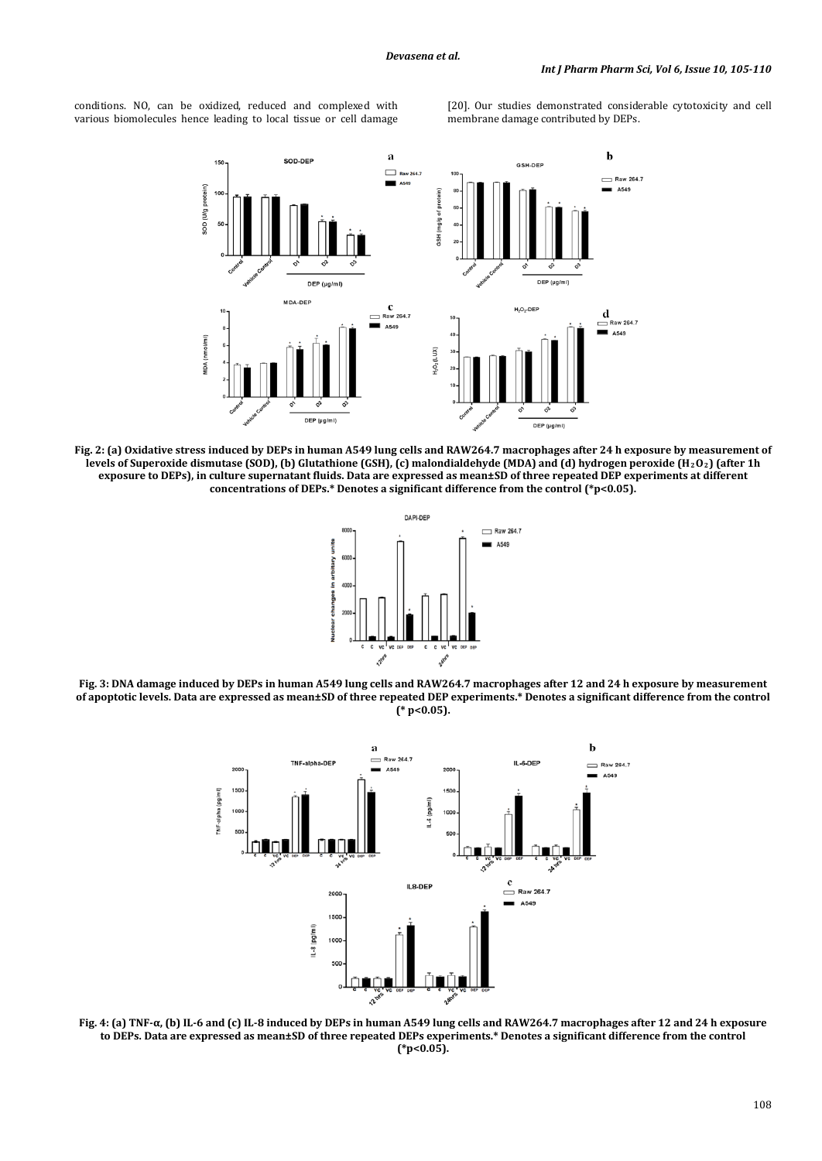conditions. NO, can be oxidized, reduced and complexed with various biomolecules hence leading to local tissue or cell damage

[20]. Our studies demonstrated considerable cytotoxicity and cell membrane damage contributed by DEPs.



**Fig. 2: (a) Oxidative stress induced by DEPs in human A549 lung cells and RAW264.7 macrophages after 24 h exposure by measurement of levels of Superoxide dismutase (SOD), (b) Glutathione (GSH), (c) malondialdehyde (MDA) and (d) hydrogen peroxide (H2O2) (after 1h exposure to DEPs), in culture supernatant fluids. Data are expressed as mean±SD of three repeated DEP experiments at different concentrations of DEPs.\* Denotes a significant difference from the control (\*p<0.05).**



**Fig. 3: DNA damage induced by DEPs in human A549 lung cells and RAW264.7 macrophages after 12 and 24 h exposure by measurement of apoptotic levels. Data are expressed as mean±SD of three repeated DEP experiments.\* Denotes a significant difference from the control (\* p<0.05).**



**Fig. 4: (a) TNF-α, (b) IL-6 and (c) IL-8 induced by DEPs in human A549 lung cells and RAW264.7 macrophages after 12 and 24 h exposure to DEPs. Data are expressed as mean±SD of three repeated DEPs experiments.\* Denotes a significant difference from the control (\*p<0.05).**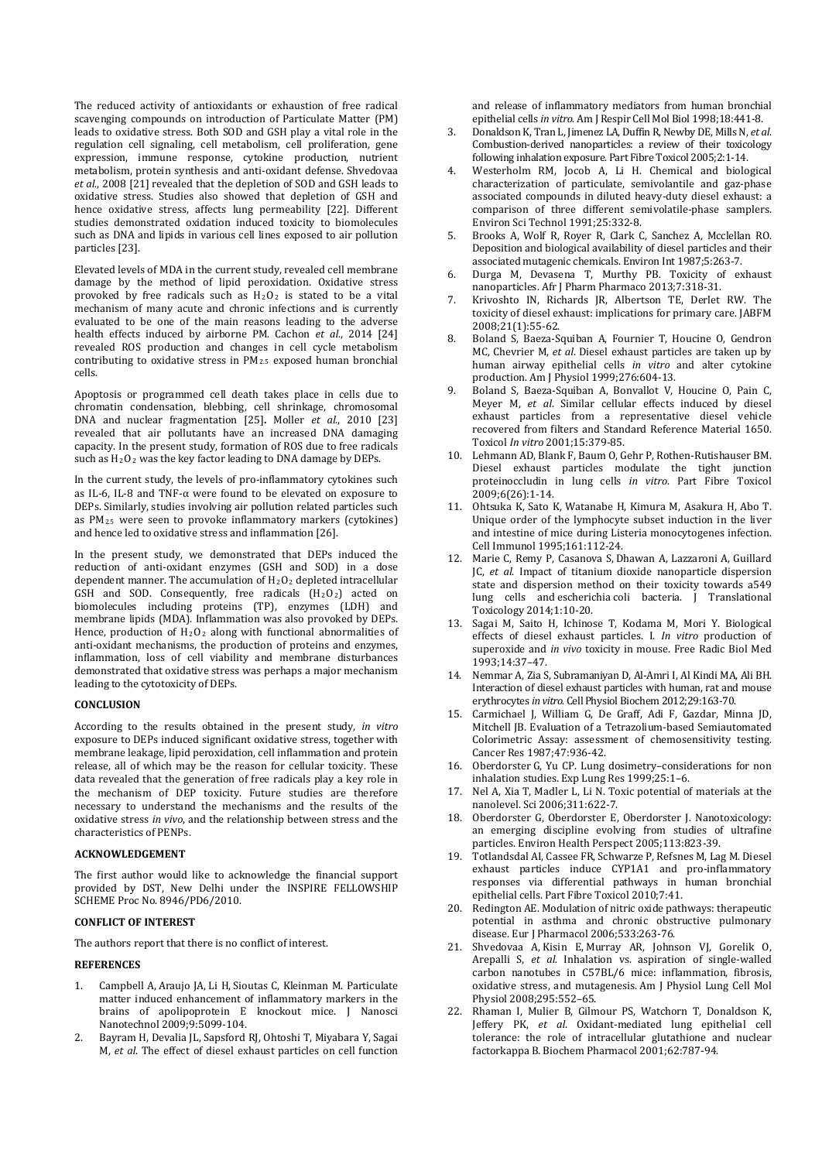The reduced activity of antioxidants or exhaustion of free radical scavenging compounds on introduction of Particulate Matter (PM) leads to oxidative stress. Both SOD and GSH play a vital role in the regulation cell signaling, cell metabolism, cell proliferation, gene expression, immune response, cytokine production, nutrient metabolism, protein synthesis and anti-oxidant defense. Shvedovaa *et al*., 2008 [21] revealed that the depletion of SOD and GSH leads to oxidative stress. Studies also showed that depletion of GSH and hence oxidative stress, affects lung permeability [22]. Different studies demonstrated oxidation induced toxicity to biomolecules such as DNA and lipids in various cell lines exposed to air pollution particles [23].

Elevated levels of MDA in the current study, revealed cell membrane damage by the method of lipid peroxidation. Oxidative stress provoked by free radicals such as  $H_2U_2$  is stated to be a vital mechanism of many acute and chronic infections and is currently evaluated to be one of the main reasons leading to the adverse health effects induced by airborne PM. Cachon *et al*., 2014 [24] revealed ROS production and changes in cell cycle metabolism contributing to oxidative stress in PM2.5 exposed human bronchial cells.

Apoptosis or programmed cell death takes place in cells due to chromatin condensation, blebbing, cell shrinkage, chromosomal DNA and nuclear fragmentation [25]**.** Moller *et al*., 2010 [23] revealed that air pollutants have an increased DNA damaging capacity. In the present study, formation of ROS due to free radicals such as H 2O2 was the key factor leading to DNA damage by DEPs.

In the current study, the levels of pro-inflammatory cytokines such as IL-6, IL-8 and TNF-α were found to be elevated on exposure to DEPs. Similarly, studies involving air pollution related particles such as PM 2.5 were seen to provoke inflammatory markers (cytokines) and hence led to oxidative stress and inflammation [26].

In the present study, we demonstrated that DEPs induced the reduction of anti-oxidant enzymes (GSH and SOD) in a dose dependent manner. The accumulation of  $H_2O_2$  depleted intracellular GSH and SOD. Consequently, free radicals  $(H_2O_2)$  acted on biomolecules including proteins (TP), enzymes (LDH) and membrane lipids (MDA). Inflammation was also provoked by DEPs. Hence, production of  $H_2O_2$  along with functional abnormalities of anti-oxidant mechanisms, the production of proteins and enzymes, inflammation, loss of cell viability and membrane disturbances demonstrated that oxidative stress was perhaps a major mechanism leading to the cytotoxicity of DEPs.

## **CONCLUSION**

According to the results obtained in the present study, *in vitro* exposure to DEPs induced significant oxidative stress, together with membrane leakage, lipid peroxidation, cell inflammation and protein release, all of which may be the reason for cellular toxicity. These data revealed that the generation of free radicals play a key role in the mechanism of DEP toxicity. Future studies are therefore necessary to understand the mechanisms and the results of the oxidative stress *in vivo*, and the relationship between stress and the characteristics of PENPs.

### **ACKNOWLEDGEMENT**

The first author would like to acknowledge the financial support provided by DST, New Delhi under the INSPIRE FELLOWSHIP SCHEME Proc No. 8946/PD6/2010.

# **CONFLICT OF INTEREST**

The authors report that there is no conflict of interest.

# **REFERENCES**

- 1. [Campbell](http://www.ncbi.nlm.nih.gov/pubmed?term=Campbell%20A%5BAuthor%5D&cauthor=true&cauthor_uid=19928188) A, [Araujo](http://www.ncbi.nlm.nih.gov/pubmed?term=Araujo%20JA%5BAuthor%5D&cauthor=true&cauthor_uid=19928188) JA, Li [H,](http://www.ncbi.nlm.nih.gov/pubmed?term=Li%20H%5BAuthor%5D&cauthor=true&cauthor_uid=19928188) [Sioutas](http://www.ncbi.nlm.nih.gov/pubmed?term=Sioutas%20C%5BAuthor%5D&cauthor=true&cauthor_uid=19928188) C, [Kleinman](http://www.ncbi.nlm.nih.gov/pubmed?term=Kleinman%20M%5BAuthor%5D&cauthor=true&cauthor_uid=19928188) M. Particulate matter induced enhancement of inflammatory markers in the brains of apolipoprotein E knockout mice. J Nanosci Nanotechnol 2009;9:5099-104.
- 2. Bayram H, Devalia JL, Sapsford RJ, Ohtoshi T, Miyabara Y, Sagai M, *et al*. The effect of diesel exhaust particles on cell function

and release of inflammatory mediators from human bronchial epithelial cells *in vitro*. Am J Respir Cell Mol Biol 1998;18:441-8.

- 3. Donaldson K, Tran L, Jimenez LA, Duffin R, Newby DE, Mills N, *et al*. Combustion-derived nanoparticles: a review of their toxicology following inhalation exposure. Part Fibre Toxicol 2005;2:1-14.
- 4. Westerholm RM, Jocob A, Li H. Chemical and biological characterization of particulate, semivolantile and gaz-phase associated compounds in diluted heavy-duty diesel exhaust: a comparison of three different semivolatile-phase samplers. Environ Sci Technol 1991;25:332-8.
- 5. Brooks A, Wolf R, Royer R, Clark C, Sanchez A, Mcclellan RO. Deposition and biological availability of diesel particles and their associated mutagenic chemicals. Environ Int 1987;5:263-7.
- 6. Durga M, Devasena T, Murthy PB. Toxicity of exhaust nanoparticles. Afr J Pharm Pharmaco 2013;7:318-31.
- 7. Krivoshto IN, Richards JR, Albertson TE, Derlet RW. The toxicity of diesel exhaust: implications for primary care. JABFM 2008;21(1):55-62.
- 8. Boland S, Baeza-Squiban A, Fournier T, Houcine O, Gendron MC, Chevrier M, *et al*. Diesel exhaust particles are taken up by human airway epithelial cells *in vitro* and alter cytokine production. Am J Physiol 1999;276:604-13.
- 9. Boland S, Baeza-Squiban A, Bonvallot V, Houcine O, Pain C, Meyer M, *et al*. Similar cellular effects induced by diesel exhaust particles from a representative diesel vehicle recovered from filters and Standard Reference Material 1650. Toxicol *In vitro* 2001;15:379-85.
- 10. Lehmann AD, Blank F, Baum O, Gehr P, Rothen-Rutishauser BM. Diesel exhaust particles modulate the tight junction proteinoccludin in lung cells *in vitro*. Part Fibre Toxicol 2009;6(26):1-14.
- 11. Ohtsuka K, Sato K, Watanabe H, Kimura M, Asakura H, Abo T. Unique order of the lymphocyte subset induction in the liver and intestine of mice during Listeria monocytogenes infection. Cell Immunol 1995;161:112‐24.
- 12. Marie C, Remy P, Casanova S, Dhawan A, Lazzaroni A, Guillard JC, *et al*. Impact of titanium dioxide nanoparticle dispersion state and dispersion method on their toxicity towards a549 lung cells and escherichia coli bacteria. J Translational Toxicology 2014;1:10-20.
- 13. Sagai M, Saito H, Ichinose T, Kodama M, Mori Y. Biological effects of diesel exhaust particles. I. *In vitro* production of superoxide and *in vivo* toxicity in mouse. Free Radic Biol Med 1993;14:37–47.
- 14. Nemmar A, Zia S, Subramaniyan D, Al-Amri I, Al Kindi MA, Ali BH. Interaction of diesel exhaust particles with human, rat and mouse erythrocytes *in vitro*. Cell Physiol Biochem 2012;29:163-70.
- 15. Carmichael J, William G, De Graff, Adi F, Gazdar, Minna JD, Mitchell JB. Evaluation of a Tetrazolium-based Semiautomated Colorimetric Assay: assessment of chemosensitivity testing. Cancer Res 1987;47:936-42.
- 16. Oberdorster G, Yu CP. Lung dosimetry–considerations for non inhalation studies. Exp Lung Res 1999;25:1 –6.
- 17. Nel A, Xia T, Madler L, Li N. Toxic potential of materials at the nanolevel. Sci 2006;311:622‐7.
- 18. Oberdorster G, Oberdorster E, Oberdorster J. Nanotoxicology: an emerging discipline evolving from studies of ultrafine particles. Environ Health Perspect 2005;113:823‐39.
- 19. Totlandsdal AI, Cassee FR, Schwarze P, Refsnes M, Lag M. Diesel exhaust particles induce CYP1A1 and pro-inflammatory responses via differential pathways in human bronchial epithelial cells. Part Fibre Toxicol 2010;7: 41.
- 20. Redington AE. Modulation of nitric oxide pathways: therapeutic potential in asthma and chronic obstructive pulmonary disease. Eur J Pharmacol 2006;533:263-76.
- 21. Shvedovaa A, Kisin E, Murray AR, [Johnson](http://www.ncbi.nlm.nih.gov/pubmed?term=Johnson%20VJ%5BAuthor%5D&cauthor=true&cauthor_uid=18658273) VJ, [Gorelik](http://www.ncbi.nlm.nih.gov/pubmed?term=Gorelik%20O%5BAuthor%5D&cauthor=true&cauthor_uid=18658273) O, [Arepalli](http://www.ncbi.nlm.nih.gov/pubmed?term=Arepalli%20S%5BAuthor%5D&cauthor=true&cauthor_uid=18658273) S, *et al.* Inhalation vs. aspiration of single-walled carbon nanotubes in C57BL/6 mice: inflammation, fibrosis, oxidative stress, and mutagenesis. Am J Physiol Lung Cell Mol Physiol 2008;295:552–65 .
- 22. Rhaman I, Mulier B, Gilmour PS, Watchorn T, Donaldson K, Jeffery PK, *et al*. Oxidant-mediated lung epithelial cell tolerance: the role of intracellular glutathione and nuclear factorkappa B. Biochem Pharmacol 2001;62:787-94.